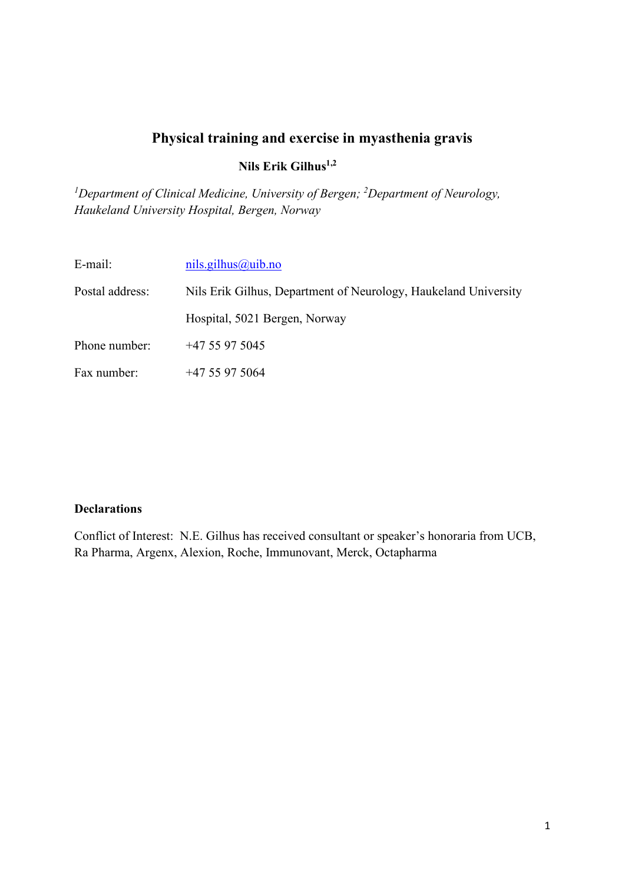# **Physical training and exercise in myasthenia gravis**

**Nils Erik Gilhus1,2**

*1 Department of Clinical Medicine, University of Bergen; 2 Department of Neurology, Haukeland University Hospital, Bergen, Norway*

| E-mail:         | nils.gilhus@uib.no                                              |
|-----------------|-----------------------------------------------------------------|
| Postal address: | Nils Erik Gilhus, Department of Neurology, Haukeland University |
|                 | Hospital, 5021 Bergen, Norway                                   |
| Phone number:   | $+4755975045$                                                   |
| Fax number:     | $+4755975064$                                                   |

#### **Declarations**

Conflict of Interest: N.E. Gilhus has received consultant or speaker's honoraria from UCB, Ra Pharma, Argenx, Alexion, Roche, Immunovant, Merck, Octapharma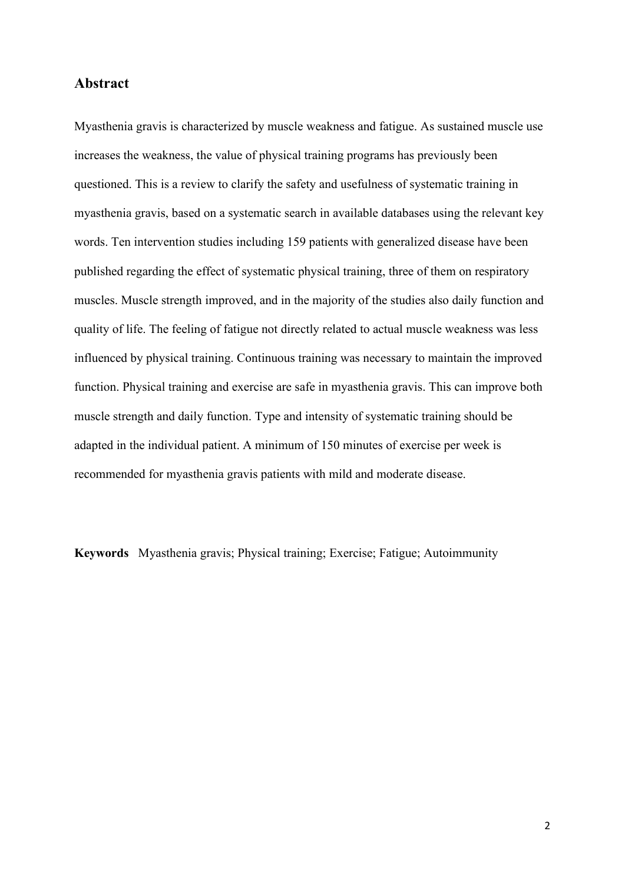#### **Abstract**

Myasthenia gravis is characterized by muscle weakness and fatigue. As sustained muscle use increases the weakness, the value of physical training programs has previously been questioned. This is a review to clarify the safety and usefulness of systematic training in myasthenia gravis, based on a systematic search in available databases using the relevant key words. Ten intervention studies including 159 patients with generalized disease have been published regarding the effect of systematic physical training, three of them on respiratory muscles. Muscle strength improved, and in the majority of the studies also daily function and quality of life. The feeling of fatigue not directly related to actual muscle weakness was less influenced by physical training. Continuous training was necessary to maintain the improved function. Physical training and exercise are safe in myasthenia gravis. This can improve both muscle strength and daily function. Type and intensity of systematic training should be adapted in the individual patient. A minimum of 150 minutes of exercise per week is recommended for myasthenia gravis patients with mild and moderate disease.

**Keywords** Myasthenia gravis; Physical training; Exercise; Fatigue; Autoimmunity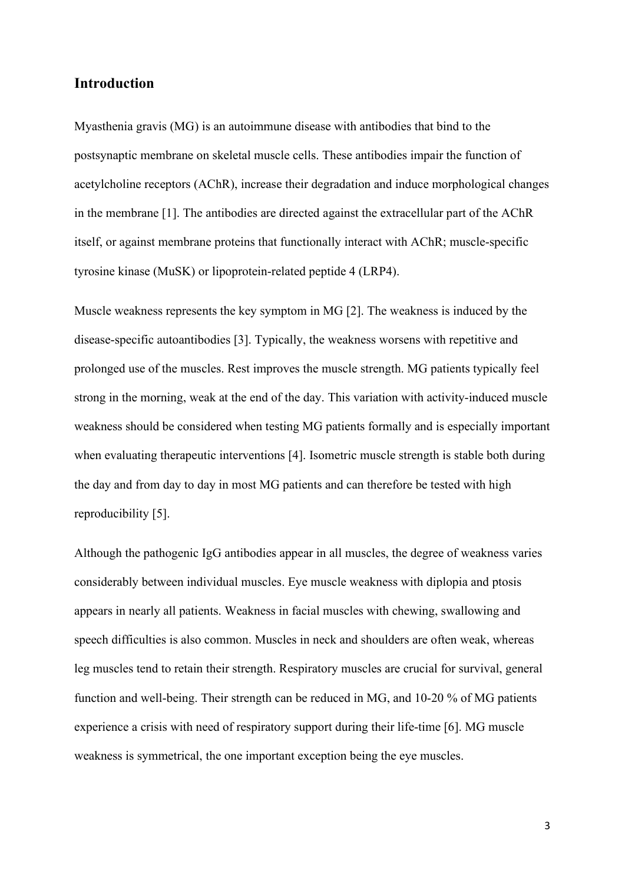## **Introduction**

Myasthenia gravis (MG) is an autoimmune disease with antibodies that bind to the postsynaptic membrane on skeletal muscle cells. These antibodies impair the function of acetylcholine receptors (AChR), increase their degradation and induce morphological changes in the membrane [1]. The antibodies are directed against the extracellular part of the AChR itself, or against membrane proteins that functionally interact with AChR; muscle-specific tyrosine kinase (MuSK) or lipoprotein-related peptide 4 (LRP4).

Muscle weakness represents the key symptom in MG [2]. The weakness is induced by the disease-specific autoantibodies [3]. Typically, the weakness worsens with repetitive and prolonged use of the muscles. Rest improves the muscle strength. MG patients typically feel strong in the morning, weak at the end of the day. This variation with activity-induced muscle weakness should be considered when testing MG patients formally and is especially important when evaluating therapeutic interventions [4]. Isometric muscle strength is stable both during the day and from day to day in most MG patients and can therefore be tested with high reproducibility [5].

Although the pathogenic IgG antibodies appear in all muscles, the degree of weakness varies considerably between individual muscles. Eye muscle weakness with diplopia and ptosis appears in nearly all patients. Weakness in facial muscles with chewing, swallowing and speech difficulties is also common. Muscles in neck and shoulders are often weak, whereas leg muscles tend to retain their strength. Respiratory muscles are crucial for survival, general function and well-being. Their strength can be reduced in MG, and 10-20 % of MG patients experience a crisis with need of respiratory support during their life-time [6]. MG muscle weakness is symmetrical, the one important exception being the eye muscles.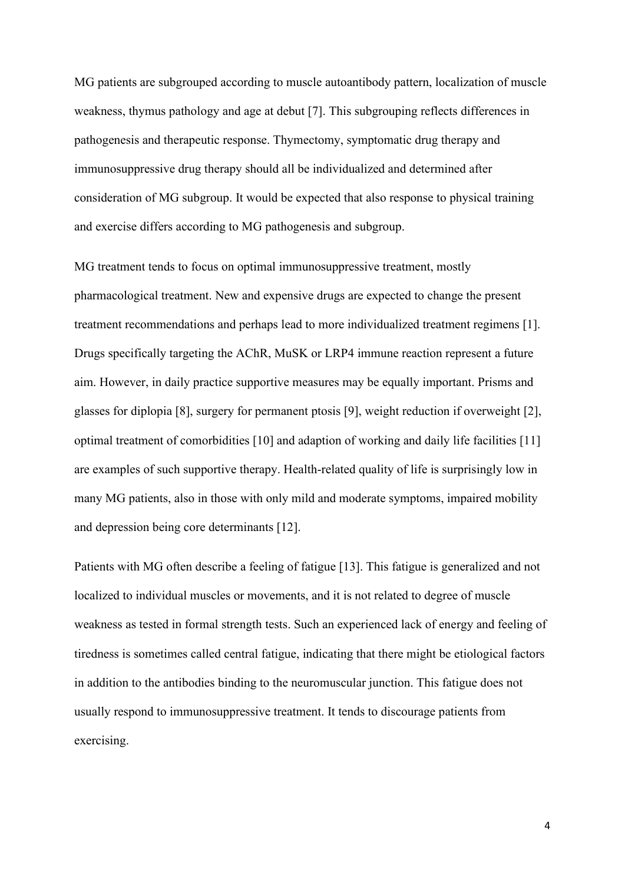MG patients are subgrouped according to muscle autoantibody pattern, localization of muscle weakness, thymus pathology and age at debut [7]. This subgrouping reflects differences in pathogenesis and therapeutic response. Thymectomy, symptomatic drug therapy and immunosuppressive drug therapy should all be individualized and determined after consideration of MG subgroup. It would be expected that also response to physical training and exercise differs according to MG pathogenesis and subgroup.

MG treatment tends to focus on optimal immunosuppressive treatment, mostly pharmacological treatment. New and expensive drugs are expected to change the present treatment recommendations and perhaps lead to more individualized treatment regimens [1]. Drugs specifically targeting the AChR, MuSK or LRP4 immune reaction represent a future aim. However, in daily practice supportive measures may be equally important. Prisms and glasses for diplopia [8], surgery for permanent ptosis [9], weight reduction if overweight [2], optimal treatment of comorbidities [10] and adaption of working and daily life facilities [11] are examples of such supportive therapy. Health-related quality of life is surprisingly low in many MG patients, also in those with only mild and moderate symptoms, impaired mobility and depression being core determinants [12].

Patients with MG often describe a feeling of fatigue [13]. This fatigue is generalized and not localized to individual muscles or movements, and it is not related to degree of muscle weakness as tested in formal strength tests. Such an experienced lack of energy and feeling of tiredness is sometimes called central fatigue, indicating that there might be etiological factors in addition to the antibodies binding to the neuromuscular junction. This fatigue does not usually respond to immunosuppressive treatment. It tends to discourage patients from exercising.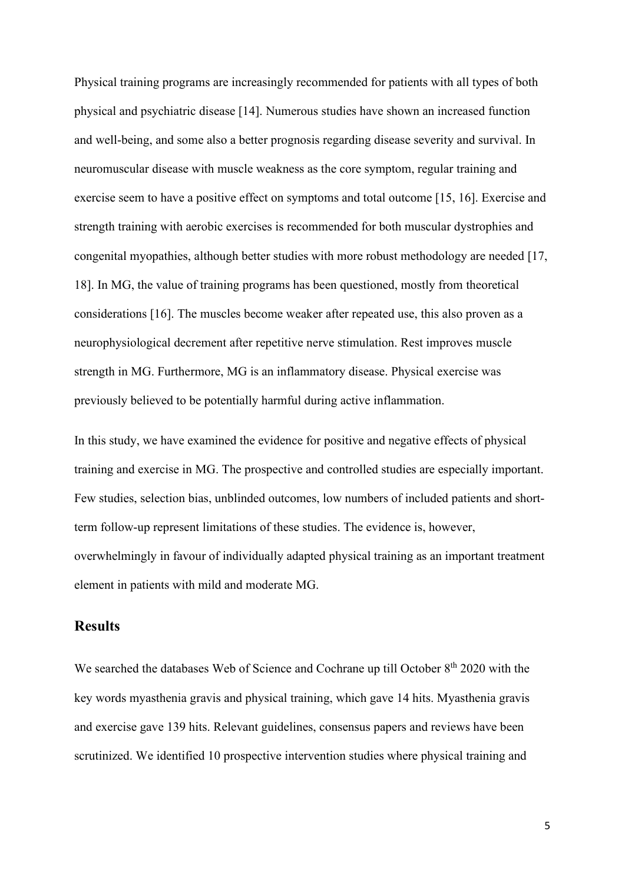Physical training programs are increasingly recommended for patients with all types of both physical and psychiatric disease [14]. Numerous studies have shown an increased function and well-being, and some also a better prognosis regarding disease severity and survival. In neuromuscular disease with muscle weakness as the core symptom, regular training and exercise seem to have a positive effect on symptoms and total outcome [15, 16]. Exercise and strength training with aerobic exercises is recommended for both muscular dystrophies and congenital myopathies, although better studies with more robust methodology are needed [17, 18]. In MG, the value of training programs has been questioned, mostly from theoretical considerations [16]. The muscles become weaker after repeated use, this also proven as a neurophysiological decrement after repetitive nerve stimulation. Rest improves muscle strength in MG. Furthermore, MG is an inflammatory disease. Physical exercise was previously believed to be potentially harmful during active inflammation.

In this study, we have examined the evidence for positive and negative effects of physical training and exercise in MG. The prospective and controlled studies are especially important. Few studies, selection bias, unblinded outcomes, low numbers of included patients and shortterm follow-up represent limitations of these studies. The evidence is, however, overwhelmingly in favour of individually adapted physical training as an important treatment element in patients with mild and moderate MG.

## **Results**

We searched the databases Web of Science and Cochrane up till October 8<sup>th</sup> 2020 with the key words myasthenia gravis and physical training, which gave 14 hits. Myasthenia gravis and exercise gave 139 hits. Relevant guidelines, consensus papers and reviews have been scrutinized. We identified 10 prospective intervention studies where physical training and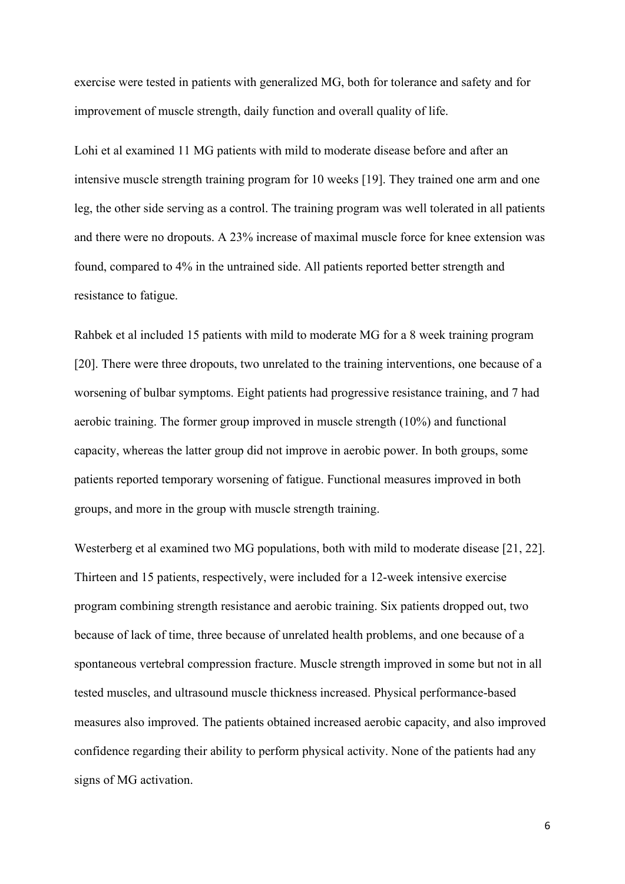exercise were tested in patients with generalized MG, both for tolerance and safety and for improvement of muscle strength, daily function and overall quality of life.

Lohi et al examined 11 MG patients with mild to moderate disease before and after an intensive muscle strength training program for 10 weeks [19]. They trained one arm and one leg, the other side serving as a control. The training program was well tolerated in all patients and there were no dropouts. A 23% increase of maximal muscle force for knee extension was found, compared to 4% in the untrained side. All patients reported better strength and resistance to fatigue.

Rahbek et al included 15 patients with mild to moderate MG for a 8 week training program [20]. There were three dropouts, two unrelated to the training interventions, one because of a worsening of bulbar symptoms. Eight patients had progressive resistance training, and 7 had aerobic training. The former group improved in muscle strength (10%) and functional capacity, whereas the latter group did not improve in aerobic power. In both groups, some patients reported temporary worsening of fatigue. Functional measures improved in both groups, and more in the group with muscle strength training.

Westerberg et al examined two MG populations, both with mild to moderate disease [21, 22]. Thirteen and 15 patients, respectively, were included for a 12-week intensive exercise program combining strength resistance and aerobic training. Six patients dropped out, two because of lack of time, three because of unrelated health problems, and one because of a spontaneous vertebral compression fracture. Muscle strength improved in some but not in all tested muscles, and ultrasound muscle thickness increased. Physical performance-based measures also improved. The patients obtained increased aerobic capacity, and also improved confidence regarding their ability to perform physical activity. None of the patients had any signs of MG activation.

6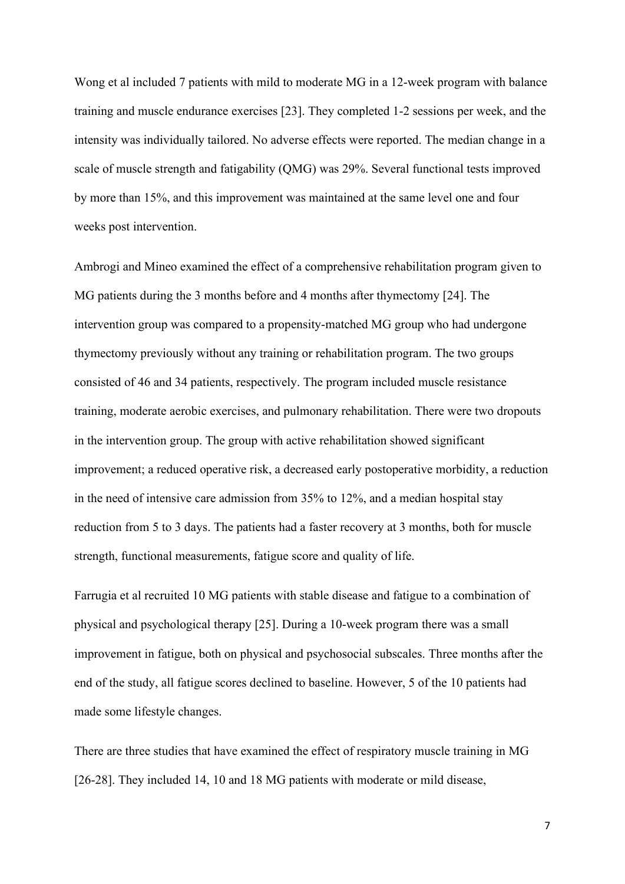Wong et al included 7 patients with mild to moderate MG in a 12-week program with balance training and muscle endurance exercises [23]. They completed 1-2 sessions per week, and the intensity was individually tailored. No adverse effects were reported. The median change in a scale of muscle strength and fatigability (QMG) was 29%. Several functional tests improved by more than 15%, and this improvement was maintained at the same level one and four weeks post intervention.

Ambrogi and Mineo examined the effect of a comprehensive rehabilitation program given to MG patients during the 3 months before and 4 months after thymectomy [24]. The intervention group was compared to a propensity-matched MG group who had undergone thymectomy previously without any training or rehabilitation program. The two groups consisted of 46 and 34 patients, respectively. The program included muscle resistance training, moderate aerobic exercises, and pulmonary rehabilitation. There were two dropouts in the intervention group. The group with active rehabilitation showed significant improvement; a reduced operative risk, a decreased early postoperative morbidity, a reduction in the need of intensive care admission from 35% to 12%, and a median hospital stay reduction from 5 to 3 days. The patients had a faster recovery at 3 months, both for muscle strength, functional measurements, fatigue score and quality of life.

Farrugia et al recruited 10 MG patients with stable disease and fatigue to a combination of physical and psychological therapy [25]. During a 10-week program there was a small improvement in fatigue, both on physical and psychosocial subscales. Three months after the end of the study, all fatigue scores declined to baseline. However, 5 of the 10 patients had made some lifestyle changes.

There are three studies that have examined the effect of respiratory muscle training in MG [26-28]. They included 14, 10 and 18 MG patients with moderate or mild disease,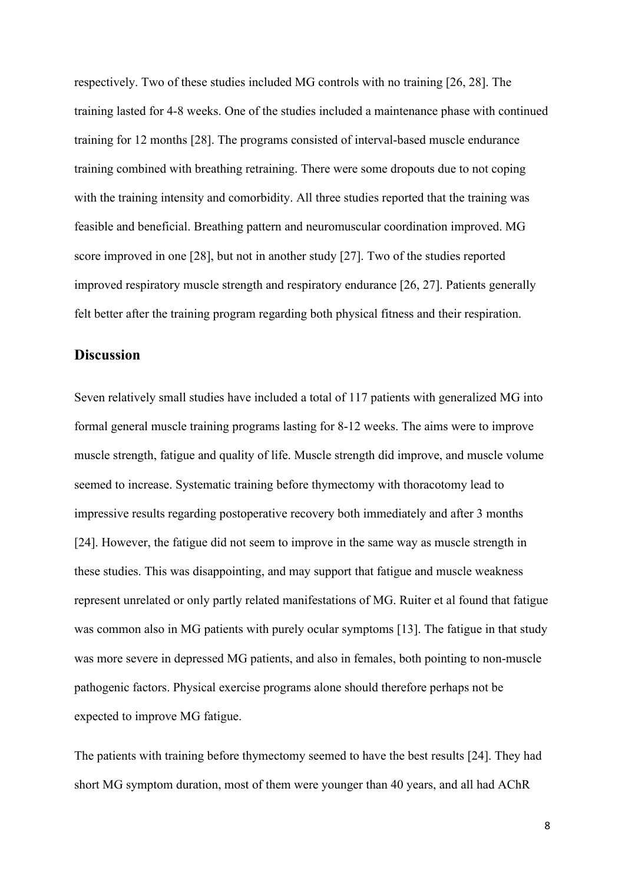respectively. Two of these studies included MG controls with no training [26, 28]. The training lasted for 4-8 weeks. One of the studies included a maintenance phase with continued training for 12 months [28]. The programs consisted of interval-based muscle endurance training combined with breathing retraining. There were some dropouts due to not coping with the training intensity and comorbidity. All three studies reported that the training was feasible and beneficial. Breathing pattern and neuromuscular coordination improved. MG score improved in one [28], but not in another study [27]. Two of the studies reported improved respiratory muscle strength and respiratory endurance [26, 27]. Patients generally felt better after the training program regarding both physical fitness and their respiration.

## **Discussion**

Seven relatively small studies have included a total of 117 patients with generalized MG into formal general muscle training programs lasting for 8-12 weeks. The aims were to improve muscle strength, fatigue and quality of life. Muscle strength did improve, and muscle volume seemed to increase. Systematic training before thymectomy with thoracotomy lead to impressive results regarding postoperative recovery both immediately and after 3 months [24]. However, the fatigue did not seem to improve in the same way as muscle strength in these studies. This was disappointing, and may support that fatigue and muscle weakness represent unrelated or only partly related manifestations of MG. Ruiter et al found that fatigue was common also in MG patients with purely ocular symptoms [13]. The fatigue in that study was more severe in depressed MG patients, and also in females, both pointing to non-muscle pathogenic factors. Physical exercise programs alone should therefore perhaps not be expected to improve MG fatigue.

The patients with training before thymectomy seemed to have the best results [24]. They had short MG symptom duration, most of them were younger than 40 years, and all had AChR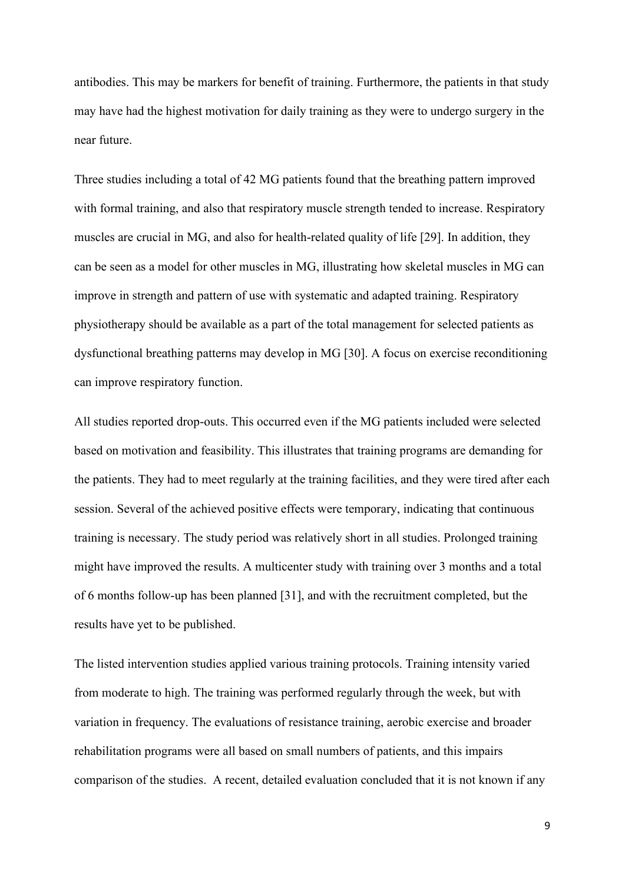antibodies. This may be markers for benefit of training. Furthermore, the patients in that study may have had the highest motivation for daily training as they were to undergo surgery in the near future.

Three studies including a total of 42 MG patients found that the breathing pattern improved with formal training, and also that respiratory muscle strength tended to increase. Respiratory muscles are crucial in MG, and also for health-related quality of life [29]. In addition, they can be seen as a model for other muscles in MG, illustrating how skeletal muscles in MG can improve in strength and pattern of use with systematic and adapted training. Respiratory physiotherapy should be available as a part of the total management for selected patients as dysfunctional breathing patterns may develop in MG [30]. A focus on exercise reconditioning can improve respiratory function.

All studies reported drop-outs. This occurred even if the MG patients included were selected based on motivation and feasibility. This illustrates that training programs are demanding for the patients. They had to meet regularly at the training facilities, and they were tired after each session. Several of the achieved positive effects were temporary, indicating that continuous training is necessary. The study period was relatively short in all studies. Prolonged training might have improved the results. A multicenter study with training over 3 months and a total of 6 months follow-up has been planned [31], and with the recruitment completed, but the results have yet to be published.

The listed intervention studies applied various training protocols. Training intensity varied from moderate to high. The training was performed regularly through the week, but with variation in frequency. The evaluations of resistance training, aerobic exercise and broader rehabilitation programs were all based on small numbers of patients, and this impairs comparison of the studies. A recent, detailed evaluation concluded that it is not known if any

9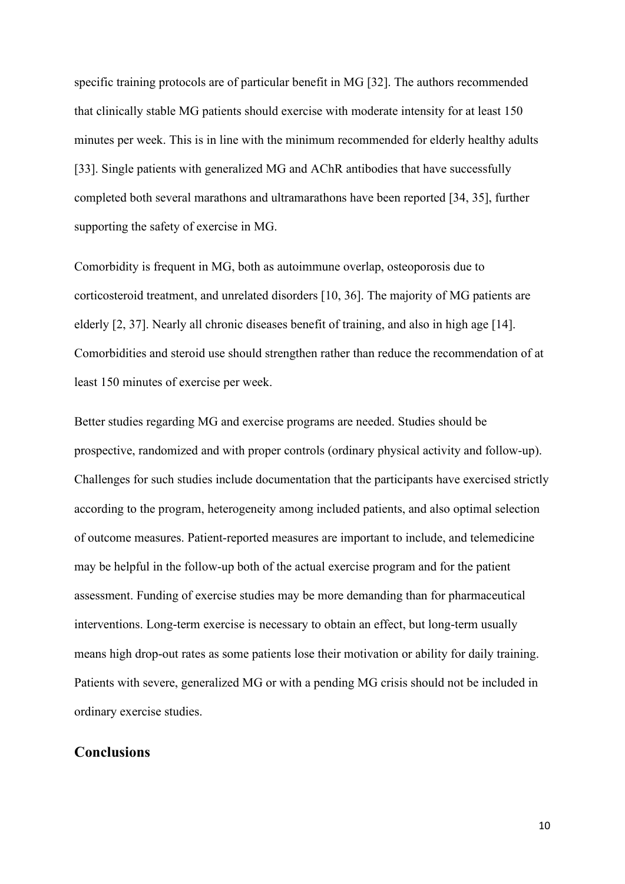specific training protocols are of particular benefit in MG [32]. The authors recommended that clinically stable MG patients should exercise with moderate intensity for at least 150 minutes per week. This is in line with the minimum recommended for elderly healthy adults [33]. Single patients with generalized MG and AChR antibodies that have successfully completed both several marathons and ultramarathons have been reported [34, 35], further supporting the safety of exercise in MG.

Comorbidity is frequent in MG, both as autoimmune overlap, osteoporosis due to corticosteroid treatment, and unrelated disorders [10, 36]. The majority of MG patients are elderly [2, 37]. Nearly all chronic diseases benefit of training, and also in high age [14]. Comorbidities and steroid use should strengthen rather than reduce the recommendation of at least 150 minutes of exercise per week.

Better studies regarding MG and exercise programs are needed. Studies should be prospective, randomized and with proper controls (ordinary physical activity and follow-up). Challenges for such studies include documentation that the participants have exercised strictly according to the program, heterogeneity among included patients, and also optimal selection of outcome measures. Patient-reported measures are important to include, and telemedicine may be helpful in the follow-up both of the actual exercise program and for the patient assessment. Funding of exercise studies may be more demanding than for pharmaceutical interventions. Long-term exercise is necessary to obtain an effect, but long-term usually means high drop-out rates as some patients lose their motivation or ability for daily training. Patients with severe, generalized MG or with a pending MG crisis should not be included in ordinary exercise studies.

## **Conclusions**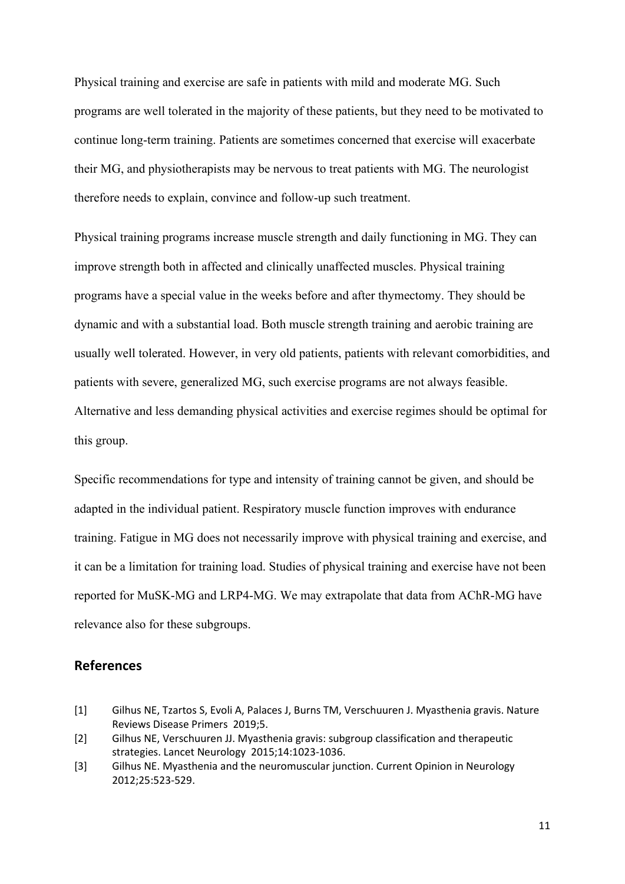Physical training and exercise are safe in patients with mild and moderate MG. Such programs are well tolerated in the majority of these patients, but they need to be motivated to continue long-term training. Patients are sometimes concerned that exercise will exacerbate their MG, and physiotherapists may be nervous to treat patients with MG. The neurologist therefore needs to explain, convince and follow-up such treatment.

Physical training programs increase muscle strength and daily functioning in MG. They can improve strength both in affected and clinically unaffected muscles. Physical training programs have a special value in the weeks before and after thymectomy. They should be dynamic and with a substantial load. Both muscle strength training and aerobic training are usually well tolerated. However, in very old patients, patients with relevant comorbidities, and patients with severe, generalized MG, such exercise programs are not always feasible. Alternative and less demanding physical activities and exercise regimes should be optimal for this group.

Specific recommendations for type and intensity of training cannot be given, and should be adapted in the individual patient. Respiratory muscle function improves with endurance training. Fatigue in MG does not necessarily improve with physical training and exercise, and it can be a limitation for training load. Studies of physical training and exercise have not been reported for MuSK-MG and LRP4-MG. We may extrapolate that data from AChR-MG have relevance also for these subgroups.

#### **References**

- [1] Gilhus NE, Tzartos S, Evoli A, Palaces J, Burns TM, Verschuuren J. Myasthenia gravis. Nature Reviews Disease Primers 2019;5.
- [2] Gilhus NE, Verschuuren JJ. Myasthenia gravis: subgroup classification and therapeutic strategies. Lancet Neurology 2015;14:1023-1036.
- [3] Gilhus NE. Myasthenia and the neuromuscular junction. Current Opinion in Neurology 2012;25:523-529.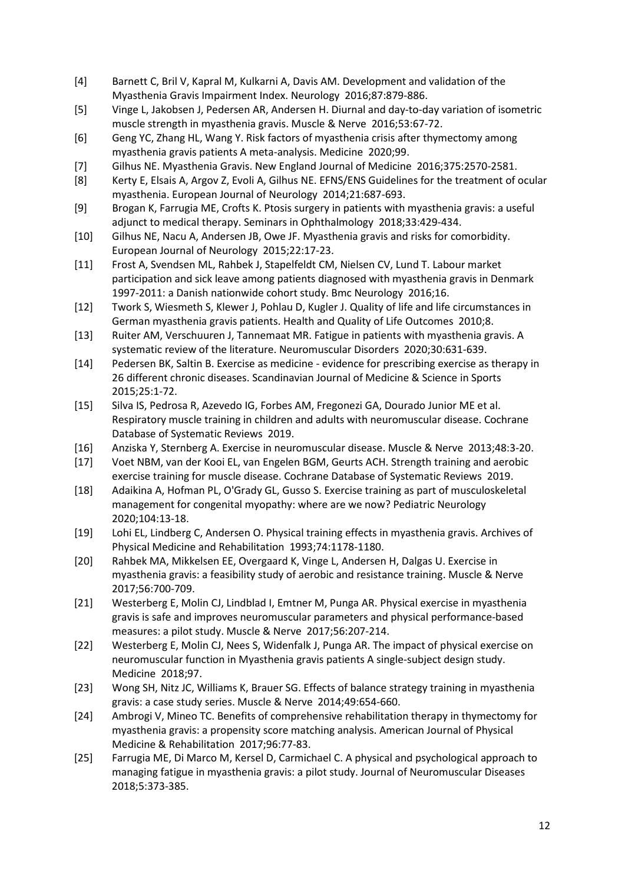- [4] Barnett C, Bril V, Kapral M, Kulkarni A, Davis AM. Development and validation of the Myasthenia Gravis Impairment Index. Neurology 2016;87:879-886.
- [5] Vinge L, Jakobsen J, Pedersen AR, Andersen H. Diurnal and day-to-day variation of isometric muscle strength in myasthenia gravis. Muscle & Nerve 2016;53:67-72.
- [6] Geng YC, Zhang HL, Wang Y. Risk factors of myasthenia crisis after thymectomy among myasthenia gravis patients A meta-analysis. Medicine 2020;99.
- [7] Gilhus NE. Myasthenia Gravis. New England Journal of Medicine 2016;375:2570-2581.
- [8] Kerty E, Elsais A, Argov Z, Evoli A, Gilhus NE. EFNS/ENS Guidelines for the treatment of ocular myasthenia. European Journal of Neurology 2014;21:687-693.
- [9] Brogan K, Farrugia ME, Crofts K. Ptosis surgery in patients with myasthenia gravis: a useful adjunct to medical therapy. Seminars in Ophthalmology 2018;33:429-434.
- [10] Gilhus NE, Nacu A, Andersen JB, Owe JF. Myasthenia gravis and risks for comorbidity. European Journal of Neurology 2015;22:17-23.
- [11] Frost A, Svendsen ML, Rahbek J, Stapelfeldt CM, Nielsen CV, Lund T. Labour market participation and sick leave among patients diagnosed with myasthenia gravis in Denmark 1997-2011: a Danish nationwide cohort study. Bmc Neurology 2016;16.
- [12] Twork S, Wiesmeth S, Klewer J, Pohlau D, Kugler J. Quality of life and life circumstances in German myasthenia gravis patients. Health and Quality of Life Outcomes 2010;8.
- [13] Ruiter AM, Verschuuren J, Tannemaat MR. Fatigue in patients with myasthenia gravis. A systematic review of the literature. Neuromuscular Disorders 2020;30:631-639.
- [14] Pedersen BK, Saltin B. Exercise as medicine evidence for prescribing exercise as therapy in 26 different chronic diseases. Scandinavian Journal of Medicine & Science in Sports 2015;25:1-72.
- [15] Silva IS, Pedrosa R, Azevedo IG, Forbes AM, Fregonezi GA, Dourado Junior ME et al. Respiratory muscle training in children and adults with neuromuscular disease. Cochrane Database of Systematic Reviews 2019.
- [16] Anziska Y, Sternberg A. Exercise in neuromuscular disease. Muscle & Nerve 2013;48:3-20.
- [17] Voet NBM, van der Kooi EL, van Engelen BGM, Geurts ACH. Strength training and aerobic exercise training for muscle disease. Cochrane Database of Systematic Reviews 2019.
- [18] Adaikina A, Hofman PL, O'Grady GL, Gusso S. Exercise training as part of musculoskeletal management for congenital myopathy: where are we now? Pediatric Neurology 2020;104:13-18.
- [19] Lohi EL, Lindberg C, Andersen O. Physical training effects in myasthenia gravis. Archives of Physical Medicine and Rehabilitation 1993;74:1178-1180.
- [20] Rahbek MA, Mikkelsen EE, Overgaard K, Vinge L, Andersen H, Dalgas U. Exercise in myasthenia gravis: a feasibility study of aerobic and resistance training. Muscle & Nerve 2017;56:700-709.
- [21] Westerberg E, Molin CJ, Lindblad I, Emtner M, Punga AR. Physical exercise in myasthenia gravis is safe and improves neuromuscular parameters and physical performance-based measures: a pilot study. Muscle & Nerve 2017;56:207-214.
- [22] Westerberg E, Molin CJ, Nees S, Widenfalk J, Punga AR. The impact of physical exercise on neuromuscular function in Myasthenia gravis patients A single-subject design study. Medicine 2018;97.
- [23] Wong SH, Nitz JC, Williams K, Brauer SG. Effects of balance strategy training in myasthenia gravis: a case study series. Muscle & Nerve 2014;49:654-660.
- [24] Ambrogi V, Mineo TC. Benefits of comprehensive rehabilitation therapy in thymectomy for myasthenia gravis: a propensity score matching analysis. American Journal of Physical Medicine & Rehabilitation 2017;96:77-83.
- [25] Farrugia ME, Di Marco M, Kersel D, Carmichael C. A physical and psychological approach to managing fatigue in myasthenia gravis: a pilot study. Journal of Neuromuscular Diseases 2018;5:373-385.